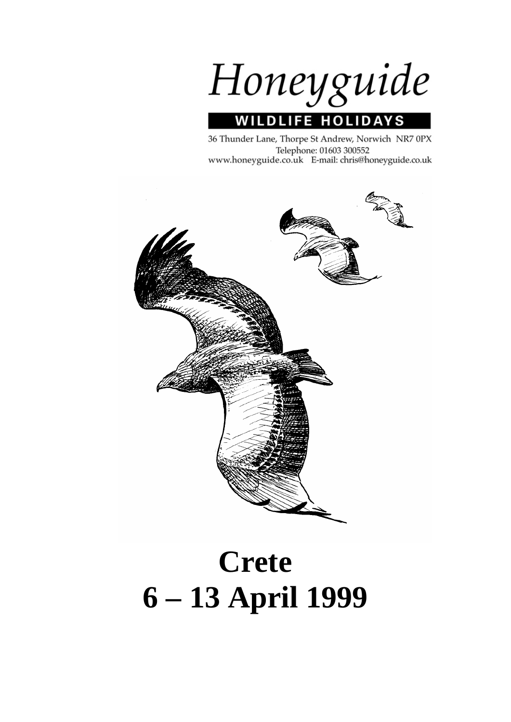

36 Thunder Lane, Thorpe St Andrew, Norwich NR7 0PX Telephone: 01603 300552 www.honeyguide.co.uk E-mail: chris@honeyguide.co.uk



# **Crete 6 – 13 April 1999**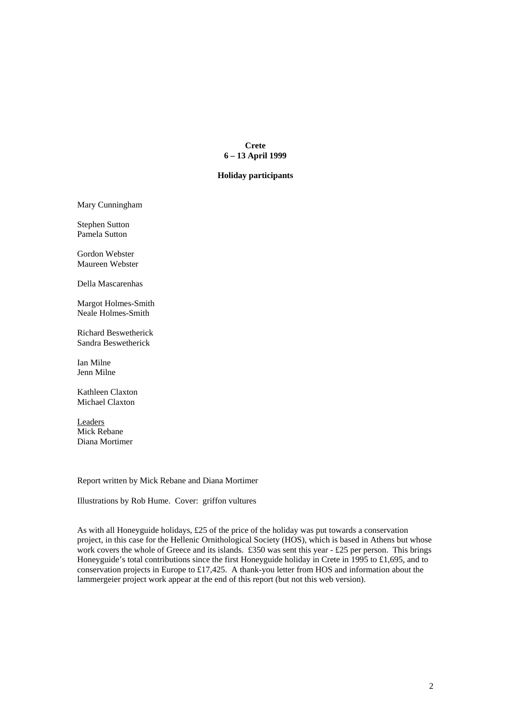## **Crete 6 – 13 April 1999**

## **Holiday participants**

Mary Cunningham

Stephen Sutton Pamela Sutton

Gordon Webster Maureen Webster

Della Mascarenhas

Margot Holmes-Smith Neale Holmes-Smith

Richard Beswetherick Sandra Beswetherick

Ian Milne Jenn Milne

Kathleen Claxton Michael Claxton

Leaders Mick Rebane Diana Mortimer

Report written by Mick Rebane and Diana Mortimer

Illustrations by Rob Hume. Cover: griffon vultures

As with all Honeyguide holidays, £25 of the price of the holiday was put towards a conservation project, in this case for the Hellenic Ornithological Society (HOS), which is based in Athens but whose work covers the whole of Greece and its islands. £350 was sent this year - £25 per person. This brings Honeyguide's total contributions since the first Honeyguide holiday in Crete in 1995 to £1,695, and to conservation projects in Europe to £17,425. A thank-you letter from HOS and information about the lammergeier project work appear at the end of this report (but not this web version).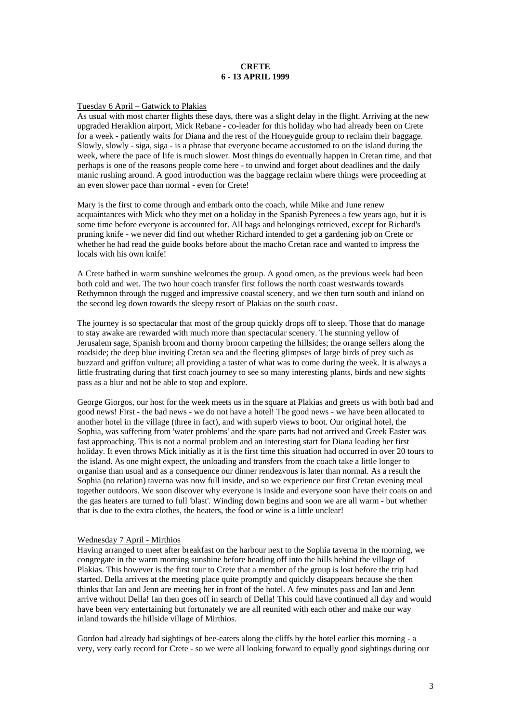# **CRETE 6 - 13 APRIL 1999**

## Tuesday 6 April – Gatwick to Plakias

As usual with most charter flights these days, there was a slight delay in the flight. Arriving at the new upgraded Heraklion airport, Mick Rebane - co-leader for this holiday who had already been on Crete for a week - patiently waits for Diana and the rest of the Honeyguide group to reclaim their baggage. Slowly, slowly - siga, siga - is a phrase that everyone became accustomed to on the island during the week, where the pace of life is much slower. Most things do eventually happen in Cretan time, and that perhaps is one of the reasons people come here - to unwind and forget about deadlines and the daily manic rushing around. A good introduction was the baggage reclaim where things were proceeding at an even slower pace than normal - even for Crete!

Mary is the first to come through and embark onto the coach, while Mike and June renew acquaintances with Mick who they met on a holiday in the Spanish Pyrenees a few years ago, but it is some time before everyone is accounted for. All bags and belongings retrieved, except for Richard's pruning knife - we never did find out whether Richard intended to get a gardening job on Crete or whether he had read the guide books before about the macho Cretan race and wanted to impress the locals with his own knife!

A Crete bathed in warm sunshine welcomes the group. A good omen, as the previous week had been both cold and wet. The two hour coach transfer first follows the north coast westwards towards Rethymnon through the rugged and impressive coastal scenery, and we then turn south and inland on the second leg down towards the sleepy resort of Plakias on the south coast.

The journey is so spectacular that most of the group quickly drops off to sleep. Those that do manage to stay awake are rewarded with much more than spectacular scenery. The stunning yellow of Jerusalem sage, Spanish broom and thorny broom carpeting the hillsides; the orange sellers along the roadside; the deep blue inviting Cretan sea and the fleeting glimpses of large birds of prey such as buzzard and griffon vulture; all providing a taster of what was to come during the week. It is always a little frustrating during that first coach journey to see so many interesting plants, birds and new sights pass as a blur and not be able to stop and explore.

George Giorgos, our host for the week meets us in the square at Plakias and greets us with both bad and good news! First - the bad news - we do not have a hotel! The good news - we have been allocated to another hotel in the village (three in fact), and with superb views to boot. Our original hotel, the Sophia, was suffering from 'water problems' and the spare parts had not arrived and Greek Easter was fast approaching. This is not a normal problem and an interesting start for Diana leading her first holiday. It even throws Mick initially as it is the first time this situation had occurred in over 20 tours to the island. As one might expect, the unloading and transfers from the coach take a little longer to organise than usual and as a consequence our dinner rendezvous is later than normal. As a result the Sophia (no relation) taverna was now full inside, and so we experience our first Cretan evening meal together outdoors. We soon discover why everyone is inside and everyone soon have their coats on and the gas heaters are turned to full 'blast'. Winding down begins and soon we are all warm - but whether that is due to the extra clothes, the heaters, the food or wine is a little unclear!

#### Wednesday 7 April - Mirthios

Having arranged to meet after breakfast on the harbour next to the Sophia taverna in the morning, we congregate in the warm morning sunshine before heading off into the hills behind the village of Plakias. This however is the first tour to Crete that a member of the group is lost before the trip had started. Della arrives at the meeting place quite promptly and quickly disappears because she then thinks that Ian and Jenn are meeting her in front of the hotel. A few minutes pass and Ian and Jenn arrive without Della! Ian then goes off in search of Della! This could have continued all day and would have been very entertaining but fortunately we are all reunited with each other and make our way inland towards the hillside village of Mirthios.

Gordon had already had sightings of bee-eaters along the cliffs by the hotel earlier this morning - a very, very early record for Crete - so we were all looking forward to equally good sightings during our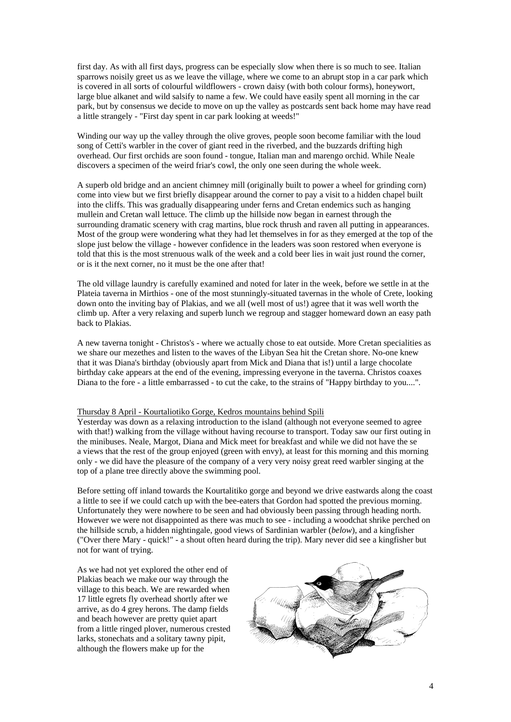first day. As with all first days, progress can be especially slow when there is so much to see. Italian sparrows noisily greet us as we leave the village, where we come to an abrupt stop in a car park which is covered in all sorts of colourful wildflowers - crown daisy (with both colour forms), honeywort, large blue alkanet and wild salsify to name a few. We could have easily spent all morning in the car park, but by consensus we decide to move on up the valley as postcards sent back home may have read a little strangely - "First day spent in car park looking at weeds!"

Winding our way up the valley through the olive groves, people soon become familiar with the loud song of Cetti's warbler in the cover of giant reed in the riverbed, and the buzzards drifting high overhead. Our first orchids are soon found - tongue, Italian man and marengo orchid. While Neale discovers a specimen of the weird friar's cowl, the only one seen during the whole week.

A superb old bridge and an ancient chimney mill (originally built to power a wheel for grinding corn) come into view but we first briefly disappear around the corner to pay a visit to a hidden chapel built into the cliffs. This was gradually disappearing under ferns and Cretan endemics such as hanging mullein and Cretan wall lettuce. The climb up the hillside now began in earnest through the surrounding dramatic scenery with crag martins, blue rock thrush and raven all putting in appearances. Most of the group were wondering what they had let themselves in for as they emerged at the top of the slope just below the village - however confidence in the leaders was soon restored when everyone is told that this is the most strenuous walk of the week and a cold beer lies in wait just round the corner, or is it the next corner, no it must be the one after that!

The old village laundry is carefully examined and noted for later in the week, before we settle in at the Plateia taverna in Mirthios - one of the most stunningly-situated tavernas in the whole of Crete, looking down onto the inviting bay of Plakias, and we all (well most of us!) agree that it was well worth the climb up. After a very relaxing and superb lunch we regroup and stagger homeward down an easy path back to Plakias.

A new taverna tonight - Christos's - where we actually chose to eat outside. More Cretan specialities as we share our mezethes and listen to the waves of the Libyan Sea hit the Cretan shore. No-one knew that it was Diana's birthday (obviously apart from Mick and Diana that is!) until a large chocolate birthday cake appears at the end of the evening, impressing everyone in the taverna. Christos coaxes Diana to the fore - a little embarrassed - to cut the cake, to the strains of "Happy birthday to you....".

#### Thursday 8 April - Kourtaliotiko Gorge, Kedros mountains behind Spili

Yesterday was down as a relaxing introduction to the island (although not everyone seemed to agree with that!) walking from the village without having recourse to transport. Today saw our first outing in the minibuses. Neale, Margot, Diana and Mick meet for breakfast and while we did not have the se a views that the rest of the group enjoyed (green with envy), at least for this morning and this morning only - we did have the pleasure of the company of a very very noisy great reed warbler singing at the top of a plane tree directly above the swimming pool.

Before setting off inland towards the Kourtalitiko gorge and beyond we drive eastwards along the coast a little to see if we could catch up with the bee-eaters that Gordon had spotted the previous morning. Unfortunately they were nowhere to be seen and had obviously been passing through heading north. However we were not disappointed as there was much to see - including a woodchat shrike perched on the hillside scrub, a hidden nightingale, good views of Sardinian warbler (*below*), and a kingfisher ("Over there Mary - quick!" - a shout often heard during the trip). Mary never did see a kingfisher but not for want of trying.

As we had not yet explored the other end of Plakias beach we make our way through the village to this beach. We are rewarded when 17 little egrets fly overhead shortly after we arrive, as do 4 grey herons. The damp fields and beach however are pretty quiet apart from a little ringed plover, numerous crested larks, stonechats and a solitary tawny pipit, although the flowers make up for the

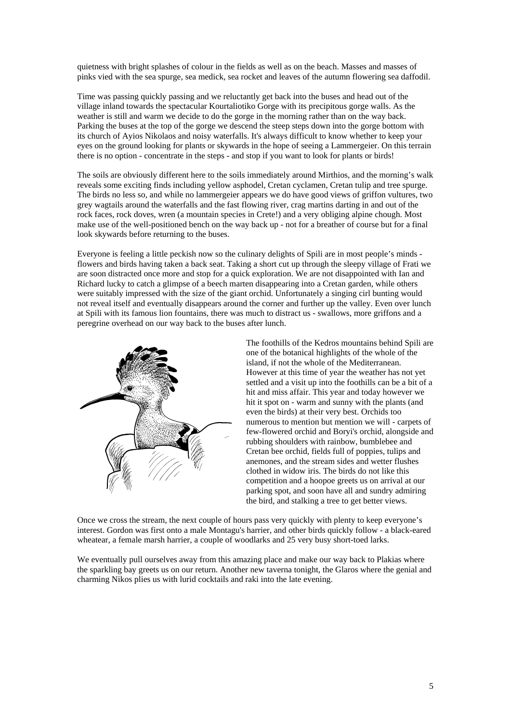quietness with bright splashes of colour in the fields as well as on the beach. Masses and masses of pinks vied with the sea spurge, sea medick, sea rocket and leaves of the autumn flowering sea daffodil.

Time was passing quickly passing and we reluctantly get back into the buses and head out of the village inland towards the spectacular Kourtaliotiko Gorge with its precipitous gorge walls. As the weather is still and warm we decide to do the gorge in the morning rather than on the way back. Parking the buses at the top of the gorge we descend the steep steps down into the gorge bottom with its church of Ayios Nikolaos and noisy waterfalls. It's always difficult to know whether to keep your eyes on the ground looking for plants or skywards in the hope of seeing a Lammergeier. On this terrain there is no option - concentrate in the steps - and stop if you want to look for plants or birds!

The soils are obviously different here to the soils immediately around Mirthios, and the morning's walk reveals some exciting finds including yellow asphodel, Cretan cyclamen, Cretan tulip and tree spurge. The birds no less so, and while no lammergeier appears we do have good views of griffon vultures, two grey wagtails around the waterfalls and the fast flowing river, crag martins darting in and out of the rock faces, rock doves, wren (a mountain species in Crete!) and a very obliging alpine chough. Most make use of the well-positioned bench on the way back up - not for a breather of course but for a final look skywards before returning to the buses.

Everyone is feeling a little peckish now so the culinary delights of Spili are in most people's minds flowers and birds having taken a back seat. Taking a short cut up through the sleepy village of Frati we are soon distracted once more and stop for a quick exploration. We are not disappointed with Ian and Richard lucky to catch a glimpse of a beech marten disappearing into a Cretan garden, while others were suitably impressed with the size of the giant orchid. Unfortunately a singing cirl bunting would not reveal itself and eventually disappears around the corner and further up the valley. Even over lunch at Spili with its famous lion fountains, there was much to distract us - swallows, more griffons and a peregrine overhead on our way back to the buses after lunch.



The foothills of the Kedros mountains behind Spili are one of the botanical highlights of the whole of the island, if not the whole of the Mediterranean. However at this time of year the weather has not yet settled and a visit up into the foothills can be a bit of a hit and miss affair. This year and today however we hit it spot on - warm and sunny with the plants (and even the birds) at their very best. Orchids too numerous to mention but mention we will - carpets of few-flowered orchid and Boryi's orchid, alongside and rubbing shoulders with rainbow, bumblebee and Cretan bee orchid, fields full of poppies, tulips and anemones, and the stream sides and wetter flushes clothed in widow iris. The birds do not like this competition and a hoopoe greets us on arrival at our parking spot, and soon have all and sundry admiring the bird, and stalking a tree to get better views.

Once we cross the stream, the next couple of hours pass very quickly with plenty to keep everyone's interest. Gordon was first onto a male Montagu's harrier, and other birds quickly follow - a black-eared wheatear, a female marsh harrier, a couple of woodlarks and 25 very busy short-toed larks.

We eventually pull ourselves away from this amazing place and make our way back to Plakias where the sparkling bay greets us on our return. Another new taverna tonight, the Glaros where the genial and charming Nikos plies us with lurid cocktails and raki into the late evening.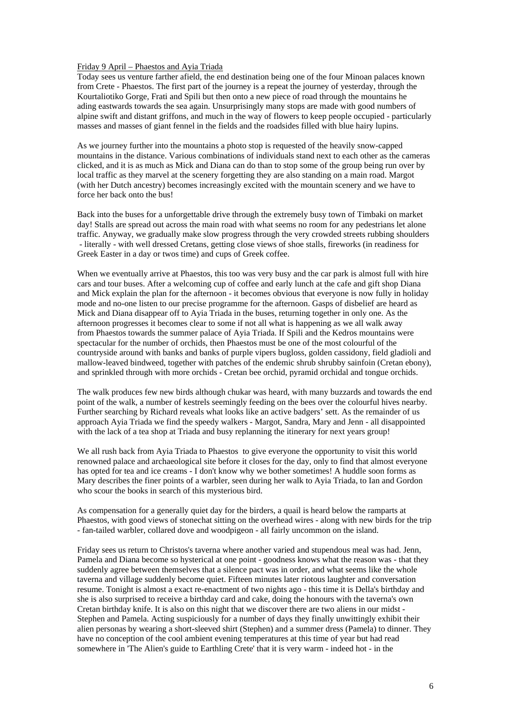#### Friday 9 April – Phaestos and Ayia Triada

Today sees us venture farther afield, the end destination being one of the four Minoan palaces known from Crete - Phaestos. The first part of the journey is a repeat the journey of yesterday, through the Kourtaliotiko Gorge, Frati and Spili but then onto a new piece of road through the mountains he ading eastwards towards the sea again. Unsurprisingly many stops are made with good numbers of alpine swift and distant griffons, and much in the way of flowers to keep people occupied - particularly masses and masses of giant fennel in the fields and the roadsides filled with blue hairy lupins.

As we journey further into the mountains a photo stop is requested of the heavily snow-capped mountains in the distance. Various combinations of individuals stand next to each other as the cameras clicked, and it is as much as Mick and Diana can do than to stop some of the group being run over by local traffic as they marvel at the scenery forgetting they are also standing on a main road. Margot (with her Dutch ancestry) becomes increasingly excited with the mountain scenery and we have to force her back onto the bus!

Back into the buses for a unforgettable drive through the extremely busy town of Timbaki on market day! Stalls are spread out across the main road with what seems no room for any pedestrians let alone traffic. Anyway, we gradually make slow progress through the very crowded streets rubbing shoulders - literally - with well dressed Cretans, getting close views of shoe stalls, fireworks (in readiness for Greek Easter in a day or twos time) and cups of Greek coffee.

When we eventually arrive at Phaestos, this too was very busy and the car park is almost full with hire cars and tour buses. After a welcoming cup of coffee and early lunch at the cafe and gift shop Diana and Mick explain the plan for the afternoon - it becomes obvious that everyone is now fully in holiday mode and no-one listen to our precise programme for the afternoon. Gasps of disbelief are heard as Mick and Diana disappear off to Ayia Triada in the buses, returning together in only one. As the afternoon progresses it becomes clear to some if not all what is happening as we all walk away from Phaestos towards the summer palace of Ayia Triada. If Spili and the Kedros mountains were spectacular for the number of orchids, then Phaestos must be one of the most colourful of the countryside around with banks and banks of purple vipers bugloss, golden cassidony, field gladioli and mallow-leaved bindweed, together with patches of the endemic shrub shrubby sainfoin (Cretan ebony), and sprinkled through with more orchids - Cretan bee orchid, pyramid orchidal and tongue orchids.

The walk produces few new birds although chukar was heard, with many buzzards and towards the end point of the walk, a number of kestrels seemingly feeding on the bees over the colourful hives nearby. Further searching by Richard reveals what looks like an active badgers' sett. As the remainder of us approach Ayia Triada we find the speedy walkers - Margot, Sandra, Mary and Jenn - all disappointed with the lack of a tea shop at Triada and busy replanning the itinerary for next years group!

We all rush back from Ayia Triada to Phaestos to give everyone the opportunity to visit this world renowned palace and archaeological site before it closes for the day, only to find that almost everyone has opted for tea and ice creams - I don't know why we bother sometimes! A huddle soon forms as Mary describes the finer points of a warbler, seen during her walk to Ayia Triada, to Ian and Gordon who scour the books in search of this mysterious bird.

As compensation for a generally quiet day for the birders, a quail is heard below the ramparts at Phaestos, with good views of stonechat sitting on the overhead wires - along with new birds for the trip - fan-tailed warbler, collared dove and woodpigeon - all fairly uncommon on the island.

Friday sees us return to Christos's taverna where another varied and stupendous meal was had. Jenn, Pamela and Diana become so hysterical at one point - goodness knows what the reason was - that they suddenly agree between themselves that a silence pact was in order, and what seems like the whole taverna and village suddenly become quiet. Fifteen minutes later riotous laughter and conversation resume. Tonight is almost a exact re-enactment of two nights ago - this time it is Della's birthday and she is also surprised to receive a birthday card and cake, doing the honours with the taverna's own Cretan birthday knife. It is also on this night that we discover there are two aliens in our midst - Stephen and Pamela. Acting suspiciously for a number of days they finally unwittingly exhibit their alien personas by wearing a short-sleeved shirt (Stephen) and a summer dress (Pamela) to dinner. They have no conception of the cool ambient evening temperatures at this time of year but had read somewhere in 'The Alien's guide to Earthling Crete' that it is very warm - indeed hot - in the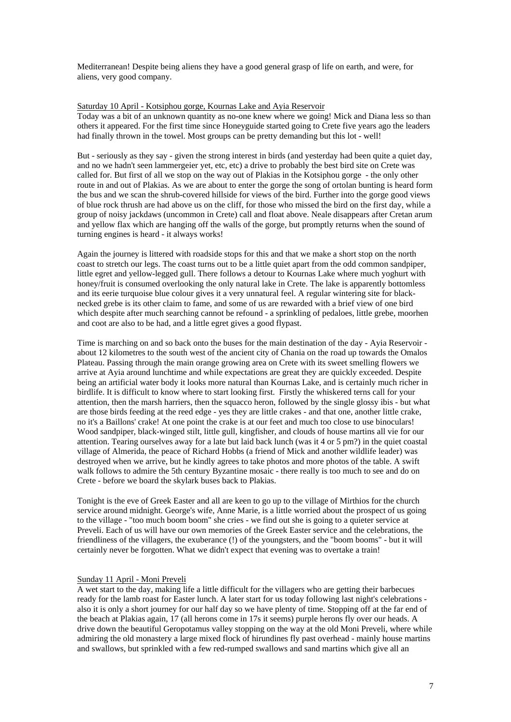Mediterranean! Despite being aliens they have a good general grasp of life on earth, and were, for aliens, very good company.

## Saturday 10 April - Kotsiphou gorge, Kournas Lake and Ayia Reservoir

Today was a bit of an unknown quantity as no-one knew where we going! Mick and Diana less so than others it appeared. For the first time since Honeyguide started going to Crete five years ago the leaders had finally thrown in the towel. Most groups can be pretty demanding but this lot - well!

But - seriously as they say - given the strong interest in birds (and yesterday had been quite a quiet day, and no we hadn't seen lammergeier yet, etc, etc) a drive to probably the best bird site on Crete was called for. But first of all we stop on the way out of Plakias in the Kotsiphou gorge - the only other route in and out of Plakias. As we are about to enter the gorge the song of ortolan bunting is heard form the bus and we scan the shrub-covered hillside for views of the bird. Further into the gorge good views of blue rock thrush are had above us on the cliff, for those who missed the bird on the first day, while a group of noisy jackdaws (uncommon in Crete) call and float above. Neale disappears after Cretan arum and yellow flax which are hanging off the walls of the gorge, but promptly returns when the sound of turning engines is heard - it always works!

Again the journey is littered with roadside stops for this and that we make a short stop on the north coast to stretch our legs. The coast turns out to be a little quiet apart from the odd common sandpiper, little egret and yellow-legged gull. There follows a detour to Kournas Lake where much yoghurt with honey/fruit is consumed overlooking the only natural lake in Crete. The lake is apparently bottomless and its eerie turquoise blue colour gives it a very unnatural feel. A regular wintering site for blacknecked grebe is its other claim to fame, and some of us are rewarded with a brief view of one bird which despite after much searching cannot be refound - a sprinkling of pedaloes, little grebe, moorhen and coot are also to be had, and a little egret gives a good flypast.

Time is marching on and so back onto the buses for the main destination of the day - Ayia Reservoir about 12 kilometres to the south west of the ancient city of Chania on the road up towards the Omalos Plateau. Passing through the main orange growing area on Crete with its sweet smelling flowers we arrive at Ayia around lunchtime and while expectations are great they are quickly exceeded. Despite being an artificial water body it looks more natural than Kournas Lake, and is certainly much richer in birdlife. It is difficult to know where to start looking first. Firstly the whiskered terns call for your attention, then the marsh harriers, then the squacco heron, followed by the single glossy ibis - but what are those birds feeding at the reed edge - yes they are little crakes - and that one, another little crake, no it's a Baillons' crake! At one point the crake is at our feet and much too close to use binoculars! Wood sandpiper, black-winged stilt, little gull, kingfisher, and clouds of house martins all vie for our attention. Tearing ourselves away for a late but laid back lunch (was it 4 or 5 pm?) in the quiet coastal village of Almerida, the peace of Richard Hobbs (a friend of Mick and another wildlife leader) was destroyed when we arrive, but he kindly agrees to take photos and more photos of the table. A swift walk follows to admire the 5th century Byzantine mosaic - there really is too much to see and do on Crete - before we board the skylark buses back to Plakias.

Tonight is the eve of Greek Easter and all are keen to go up to the village of Mirthios for the church service around midnight. George's wife, Anne Marie, is a little worried about the prospect of us going to the village - "too much boom boom" she cries - we find out she is going to a quieter service at Preveli. Each of us will have our own memories of the Greek Easter service and the celebrations, the friendliness of the villagers, the exuberance (!) of the youngsters, and the "boom booms" - but it will certainly never be forgotten. What we didn't expect that evening was to overtake a train!

# Sunday 11 April - Moni Preveli

A wet start to the day, making life a little difficult for the villagers who are getting their barbecues ready for the lamb roast for Easter lunch. A later start for us today following last night's celebrations also it is only a short journey for our half day so we have plenty of time. Stopping off at the far end of the beach at Plakias again, 17 (all herons come in 17s it seems) purple herons fly over our heads. A drive down the beautiful Geropotamus valley stopping on the way at the old Moni Preveli, where while admiring the old monastery a large mixed flock of hirundines fly past overhead - mainly house martins and swallows, but sprinkled with a few red-rumped swallows and sand martins which give all an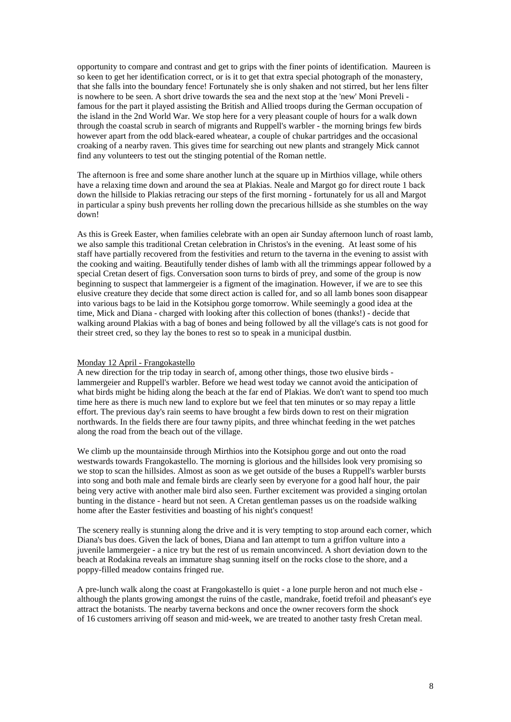opportunity to compare and contrast and get to grips with the finer points of identification. Maureen is so keen to get her identification correct, or is it to get that extra special photograph of the monastery, that she falls into the boundary fence! Fortunately she is only shaken and not stirred, but her lens filter is nowhere to be seen. A short drive towards the sea and the next stop at the 'new' Moni Preveli famous for the part it played assisting the British and Allied troops during the German occupation of the island in the 2nd World War. We stop here for a very pleasant couple of hours for a walk down through the coastal scrub in search of migrants and Ruppell's warbler - the morning brings few birds however apart from the odd black-eared wheatear, a couple of chukar partridges and the occasional croaking of a nearby raven. This gives time for searching out new plants and strangely Mick cannot find any volunteers to test out the stinging potential of the Roman nettle.

The afternoon is free and some share another lunch at the square up in Mirthios village, while others have a relaxing time down and around the sea at Plakias. Neale and Margot go for direct route 1 back down the hillside to Plakias retracing our steps of the first morning - fortunately for us all and Margot in particular a spiny bush prevents her rolling down the precarious hillside as she stumbles on the way down!

As this is Greek Easter, when families celebrate with an open air Sunday afternoon lunch of roast lamb, we also sample this traditional Cretan celebration in Christos's in the evening. At least some of his staff have partially recovered from the festivities and return to the taverna in the evening to assist with the cooking and waiting. Beautifully tender dishes of lamb with all the trimmings appear followed by a special Cretan desert of figs. Conversation soon turns to birds of prey, and some of the group is now beginning to suspect that lammergeier is a figment of the imagination. However, if we are to see this elusive creature they decide that some direct action is called for, and so all lamb bones soon disappear into various bags to be laid in the Kotsiphou gorge tomorrow. While seemingly a good idea at the time, Mick and Diana - charged with looking after this collection of bones (thanks!) - decide that walking around Plakias with a bag of bones and being followed by all the village's cats is not good for their street cred, so they lay the bones to rest so to speak in a municipal dustbin.

## Monday 12 April - Frangokastello

A new direction for the trip today in search of, among other things, those two elusive birds lammergeier and Ruppell's warbler. Before we head west today we cannot avoid the anticipation of what birds might be hiding along the beach at the far end of Plakias. We don't want to spend too much time here as there is much new land to explore but we feel that ten minutes or so may repay a little effort. The previous day's rain seems to have brought a few birds down to rest on their migration northwards. In the fields there are four tawny pipits, and three whinchat feeding in the wet patches along the road from the beach out of the village.

We climb up the mountainside through Mirthios into the Kotsiphou gorge and out onto the road westwards towards Frangokastello. The morning is glorious and the hillsides look very promising so we stop to scan the hillsides. Almost as soon as we get outside of the buses a Ruppell's warbler bursts into song and both male and female birds are clearly seen by everyone for a good half hour, the pair being very active with another male bird also seen. Further excitement was provided a singing ortolan bunting in the distance - heard but not seen. A Cretan gentleman passes us on the roadside walking home after the Easter festivities and boasting of his night's conquest!

The scenery really is stunning along the drive and it is very tempting to stop around each corner, which Diana's bus does. Given the lack of bones, Diana and Ian attempt to turn a griffon vulture into a juvenile lammergeier - a nice try but the rest of us remain unconvinced. A short deviation down to the beach at Rodakina reveals an immature shag sunning itself on the rocks close to the shore, and a poppy-filled meadow contains fringed rue.

A pre-lunch walk along the coast at Frangokastello is quiet - a lone purple heron and not much else although the plants growing amongst the ruins of the castle, mandrake, foetid trefoil and pheasant's eye attract the botanists. The nearby taverna beckons and once the owner recovers form the shock of 16 customers arriving off season and mid-week, we are treated to another tasty fresh Cretan meal.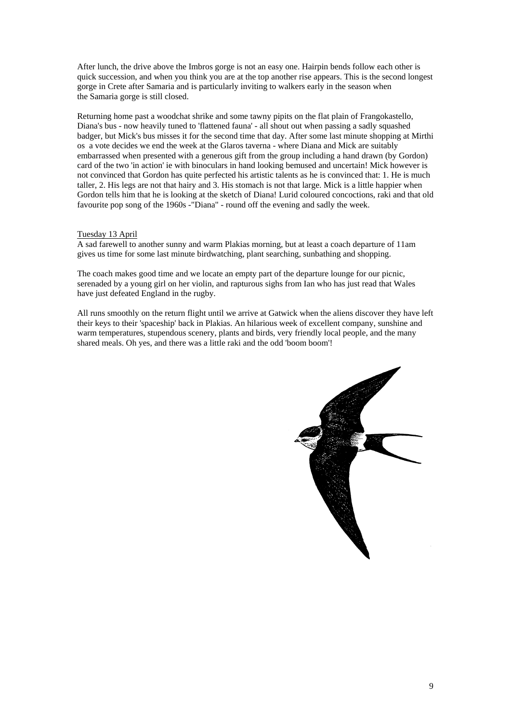After lunch, the drive above the Imbros gorge is not an easy one. Hairpin bends follow each other is quick succession, and when you think you are at the top another rise appears. This is the second longest gorge in Crete after Samaria and is particularly inviting to walkers early in the season when the Samaria gorge is still closed.

Returning home past a woodchat shrike and some tawny pipits on the flat plain of Frangokastello, Diana's bus - now heavily tuned to 'flattened fauna' - all shout out when passing a sadly squashed badger, but Mick's bus misses it for the second time that day. After some last minute shopping at Mirthi os a vote decides we end the week at the Glaros taverna - where Diana and Mick are suitably embarrassed when presented with a generous gift from the group including a hand drawn (by Gordon) card of the two 'in action' ie with binoculars in hand looking bemused and uncertain! Mick however is not convinced that Gordon has quite perfected his artistic talents as he is convinced that: 1. He is much taller, 2. His legs are not that hairy and 3. His stomach is not that large. Mick is a little happier when Gordon tells him that he is looking at the sketch of Diana! Lurid coloured concoctions, raki and that old favourite pop song of the 1960s -"Diana" - round off the evening and sadly the week.

# Tuesday 13 April

A sad farewell to another sunny and warm Plakias morning, but at least a coach departure of 11am gives us time for some last minute birdwatching, plant searching, sunbathing and shopping.

The coach makes good time and we locate an empty part of the departure lounge for our picnic, serenaded by a young girl on her violin, and rapturous sighs from Ian who has just read that Wales have just defeated England in the rugby.

All runs smoothly on the return flight until we arrive at Gatwick when the aliens discover they have left their keys to their 'spaceship' back in Plakias. An hilarious week of excellent company, sunshine and warm temperatures, stupendous scenery, plants and birds, very friendly local people, and the many shared meals. Oh yes, and there was a little raki and the odd 'boom boom'!

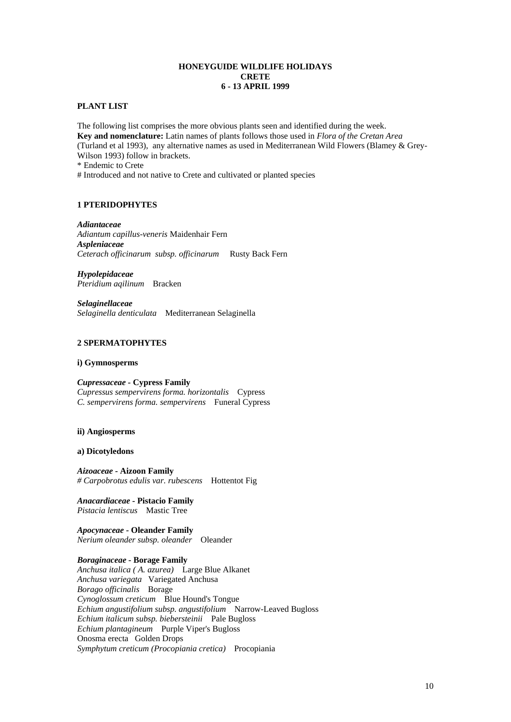## **HONEYGUIDE WILDLIFE HOLIDAYS CRETE 6 - 13 APRIL 1999**

#### **PLANT LIST**

The following list comprises the more obvious plants seen and identified during the week. **Key and nomenclature:** Latin names of plants follows those used in *Flora of the Cretan Area*  (Turland et al 1993), any alternative names as used in Mediterranean Wild Flowers (Blamey & Grey-Wilson 1993) follow in brackets.

\* Endemic to Crete

# Introduced and not native to Crete and cultivated or planted species

## **1 PTERIDOPHYTES**

*Adiantaceae Adiantum capillus-veneris* Maidenhair Fern *Aspleniaceae Ceterach officinarum subsp. officinarum* Rusty Back Fern

*Hypolepidaceae Pteridium aqilinum* Bracken

*Selaginellaceae Selaginella denticulata* Mediterranean Selaginella

# **2 SPERMATOPHYTES**

#### **i) Gymnosperms**

*Cupressaceae -* **Cypress Family**  *Cupressus sempervirens forma. horizontalis* Cypress *C. sempervirens forma. sempervirens* Funeral Cypress

# **ii) Angiosperms**

#### **a) Dicotyledons**

*Aizoaceae -* **Aizoon Family**  *# Carpobrotus edulis var. rubescens* Hottentot Fig

*Anacardiaceae* **- Pistacio Family** *Pistacia lentiscus* Mastic Tree

*Apocynaceae -* **Oleander Family** *Nerium oleander subsp. oleander* Oleander

## *Boraginaceae* **- Borage Family**

*Anchusa italica ( A. azurea)* Large Blue Alkanet *Anchusa variegata* Variegated Anchusa *Borago officinalis* Borage *Cynoglossum creticum* Blue Hound's Tongue *Echium angustifolium subsp. angustifolium* Narrow-Leaved Bugloss *Echium italicum subsp. biebersteinii* Pale Bugloss *Echium plantagineum* Purple Viper's Bugloss Onosma erecta Golden Drops *Symphytum creticum (Procopiania cretica)* Procopiania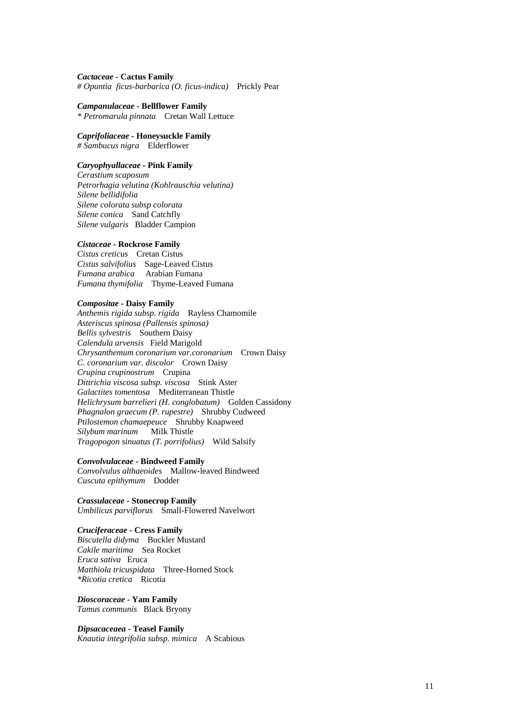#### *Cactaceae* **- Cactus Family**

*# Opuntia ficus-barbarica (O. ficus-indica)* Prickly Pear

#### *Campanulaceae* **- Bellflower Family**

*\* Petromarula pinnata* Cretan Wall Lettuce

#### *Caprifoliaceae -* **Honeysuckle Family**  *# Sambucus nigra* Elderflower

# *Caryophyallaceae* **- Pink Family**

*Cerastium scaposum Petrorhagia velutina (Kohlrauschia velutina) Silene bellidifolia Silene colorata subsp colorata Silene conica* Sand Catchfly *Silene vulgaris* Bladder Campion

#### *Cistaceae* **- Rockrose Family**

*Cistus creticus* Cretan Cistus *Cistus salvifolius* Sage-Leaved Cistus *Fumana arabica* Arabian Fumana *Fumana thymifolia* Thyme-Leaved Fumana

## *Compositae* **- Daisy Family**

*Anthemis rigida subsp. rigida* Rayless Chamomile *Asteriscus spinosa (Pallensis spinosa) Bellis sylvestris* Southern Daisy *Calendula arvensis* Field Marigold *Chrysanthemum coronarium var.coronarium* Crown Daisy *C. coronarium var. discolor* Crown Daisy *Crupina crupinostrum* Crupina *Dittrichia viscosa subsp. viscosa* Stink Aster *Galactites tomentosa* Mediterranean Thistle *Helichrysum barrelieri (H. conglobatum)* Golden Cassidony *Phagnalon graecum (P. rupestre)* Shrubby Cudweed *Ptilostemon chamaepeuce* Shrubby Knapweed *Silybum marinum* Milk Thistle *Tragopogon sinuatus (T. porrifolius)* Wild Salsify

#### *Convolvulaceae* **- Bindweed Family**

*Convolvulus althaeoides* Mallow-leaved Bindweed *Cuscuta epithymum* Dodder

*Crassulaceae* **- Stonecrop Family** *Umbilicus parviflorus* Small-Flowered Navelwort

#### *Cruciferaceae* **- Cress Family**

*Biscutella didyma* Buckler Mustard *Cakile maritima* Sea Rocket *Eruca sativa* Eruca *Matthiola tricuspidata* Three-Horned Stock *\*Ricotia cretica* Ricotia

*Dioscoraceae* **- Yam Family**  *Tamus communis* Black Bryony

# *Dipsacaceaea* **- Teasel Family**

*Knautia integrifolia subsp. mimica* A Scabious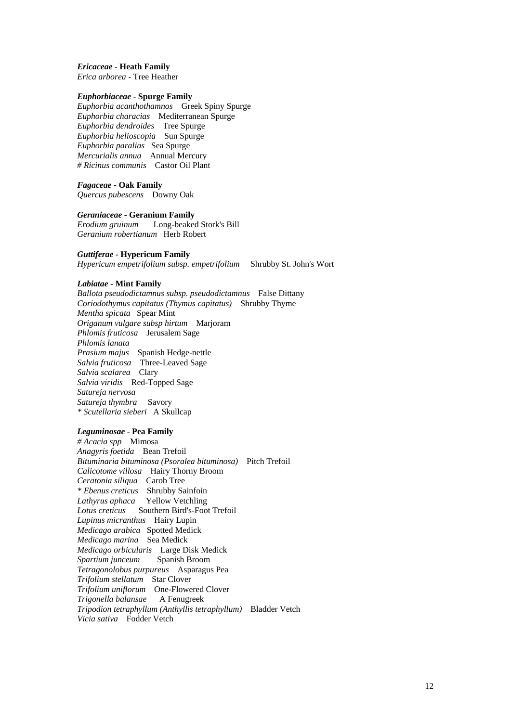#### *Ericaceae -* **Heath Family**

*Erica arborea -* Tree Heather

#### *Euphorbiaceae* **- Spurge Family**

*Euphorbia acanthothamnos* Greek Spiny Spurge *Euphorbia characias* Mediterranean Spurge *Euphorbia dendroides* Tree Spurge *Euphorbia helioscopia* Sun Spurge *Euphorbia paralias* Sea Spurge *Mercurialis annua* Annual Mercury *# Ricinus communis* Castor Oil Plant

*Fagaceae* **- Oak Family** 

*Quercus pubescens* Downy Oak

#### *Geraniaceae* **- Geranium Family**

*Erodium gruinum* Long-beaked Stork's Bill *Geranium robertianum* Herb Robert

#### *Guttiferae -* **Hypericum Family**

*Hypericum empetrifolium subsp. empetrifolium* Shrubby St. John's Wort

#### *Labiatae* **- Mint Family**

*Ballota pseudodictamnus subsp. pseudodictamnus* False Dittany *Coriodothymus capitatus (Thymus capitatus)* Shrubby Thyme *Mentha spicata* Spear Mint *Origanum vulgare subsp hirtum* Marjoram *Phlomis fruticosa* Jerusalem Sage *Phlomis lanata Prasium majus* Spanish Hedge-nettle *Salvia fruticosa* Three-Leaved Sage *Salvia scalarea* Clary *Salvia viridis* Red-Topped Sage *Satureja nervosa Satureja thymbra* Savory *\* Scutellaria sieberi* A Skullcap

## *Leguminosae* **- Pea Family**

*# Acacia spp* Mimosa *Anagyris foetida* Bean Trefoil *Bituminaria bituminosa (Psoralea bituminosa)* Pitch Trefoil *Calicotome villosa* Hairy Thorny Broom *Ceratonia siliqua* Carob Tree *\* Ebenus creticus* Shrubby Sainfoin *Lathyrus aphaca* Yellow Vetchling *Lotus creticus* Southern Bird's-Foot Trefoil *Lupinus micranthus* Hairy Lupin *Medicago arabica* Spotted Medick *Medicago marina* Sea Medick *Medicago orbicularis* Large Disk Medick *Spartium junceum Tetragonolobus purpureus* Asparagus Pea *Trifolium stellatum* Star Clover *Trifolium uniflorum* One-Flowered Clover *Trigonella balansae* A Fenugreek *Tripodion tetraphyllum (Anthyllis tetraphyllum)* Bladder Vetch *Vicia sativa* Fodder Vetch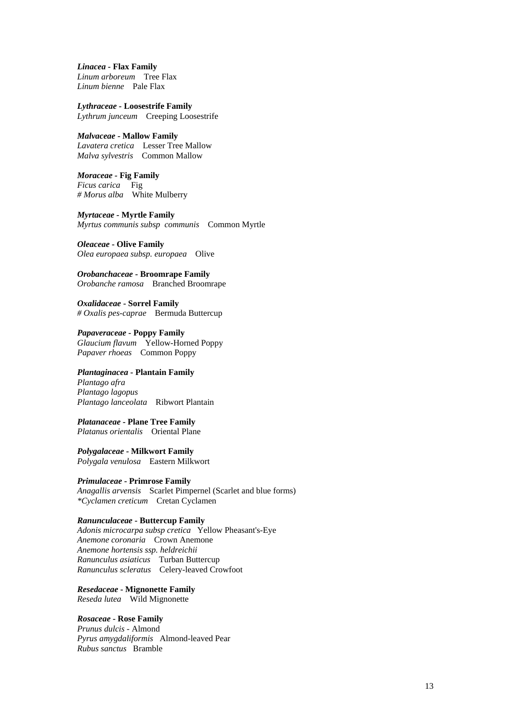*Linacea -* **Flax Family**  *Linum arboreum* Tree Flax *Linum bienne* Pale Flax

*Lythraceae -* **Loosestrife Family**  *Lythrum junceum* Creeping Loosestrife

## *Malvaceae* **- Mallow Family**

*Lavatera cretica* Lesser Tree Mallow *Malva sylvestris* Common Mallow

*Moraceae -* **Fig Family**  *Ficus carica* Fig *# Morus alba* White Mulberry

*Myrtaceae -* **Myrtle Family**  *Myrtus communis subsp communis* Common Myrtle

*Oleaceae* **- Olive Family** *Olea europaea subsp. europaea* Olive

*Orobanchaceae* **- Broomrape Family**  *Orobanche ramosa* Branched Broomrape

*Oxalidaceae* **- Sorrel Family**  *# Oxalis pes-caprae* Bermuda Buttercup

*Papaveraceae -* **Poppy Family** *Glaucium flavum* Yellow-Horned Poppy *Papaver rhoeas* Common Poppy

# *Plantaginacea* **- Plantain Family**

*Plantago afra Plantago lagopus Plantago lanceolata* Ribwort Plantain

## *Platanaceae* **- Plane Tree Family**

*Platanus orientalis* Oriental Plane

*Polygalaceae* **- Milkwort Family** *Polygala venulosa* Eastern Milkwort

#### *Primulaceae* **- Primrose Family**

*Anagallis arvensis* Scarlet Pimpernel (Scarlet and blue forms) *\*Cyclamen creticum* Cretan Cyclamen

## *Ranunculaceae* **- Buttercup Family**

*Adonis microcarpa subsp cretica* Yellow Pheasant's-Eye *Anemone coronaria* Crown Anemone *Anemone hortensis ssp. heldreichii Ranunculus asiaticus* Turban Buttercup *Ranunculus scleratus* Celery-leaved Crowfoot

*Resedaceae* **- Mignonette Family** *Reseda lutea* Wild Mignonette

# *Rosaceae* **- Rose Family**

*Prunus dulcis -* Almond *Pyrus amygdaliformis* Almond-leaved Pear *Rubus sanctus* Bramble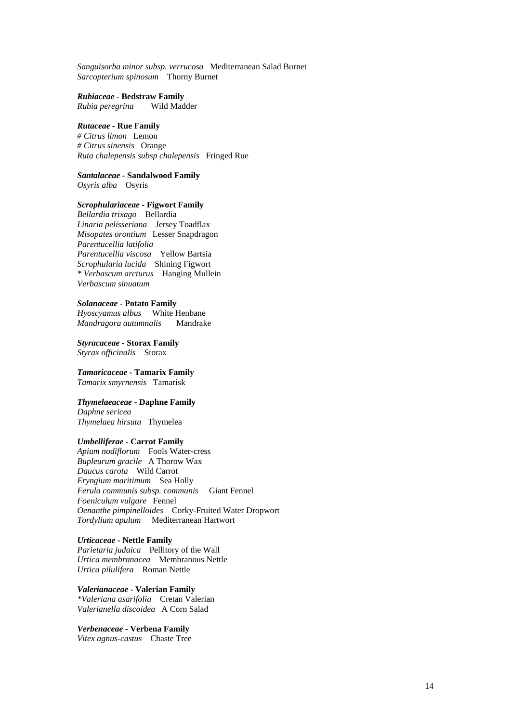*Sanguisorba minor subsp. verrucosa* Mediterranean Salad Burnet *Sarcopterium spinosum* Thorny Burnet

*Rubiaceae -* **Bedstraw Family** 

*Rubia peregrina* Wild Madder

## *Rutaceae -* **Rue Family**

*# Citrus limon* Lemon *# Citrus sinensis* Orange *Ruta chalepensis subsp chalepensis* Fringed Rue

*Santalaceae -* **Sandalwood Family**  *Osyris alba* Osyris

## *Scrophulariaceae* **- Figwort Family**

*Bellardia trixago* Bellardia *Linaria pelisseriana* Jersey Toadflax *Misopates orontium* Lesser Snapdragon *Parentucellia latifolia Parentucellia viscosa* Yellow Bartsia *Scrophularia lucida* Shining Figwort *\* Verbascum arcturus* Hanging Mullein *Verbascum sinuatum* 

#### *Solanaceae* **- Potato Family**

*Hyoscyamus albus* White Henbane *Mandragora autumnalis* Mandrake

*Styracaceae* **- Storax Family**  *Styrax officinalis* Storax

*Tamaricaceae* **- Tamarix Family** *Tamarix smyrnensis* Tamarisk

#### *Thymelaeaceae* **- Daphne Family**

*Daphne sericea Thymelaea hirsuta* Thymelea

#### *Umbelliferae* **- Carrot Family**

*Apium nodiflorum* Fools Water-cress *Bupleurum gracile* A Thorow Wax *Daucus carota* Wild Carrot *Eryngium maritimum* Sea Holly *Ferula communis subsp. communis* Giant Fennel *Foeniculum vulgare* Fennel *Oenanthe pimpinelloides* Corky-Fruited Water Dropwort *Tordylium apulum* Mediterranean Hartwort

*Urticaceae -* **Nettle Family** *Parietaria judaica* Pellitory of the Wall *Urtica membranacea* Membranous Nettle *Urtica pilulifera* Roman Nettle

*Valerianaceae* **- Valerian Family**  *\*Valeriana asarifolia* Cretan Valerian *Valerianella discoidea* A Corn Salad

*Verbenaceae* **- Verbena Family**  *Vitex agnus-castus* Chaste Tree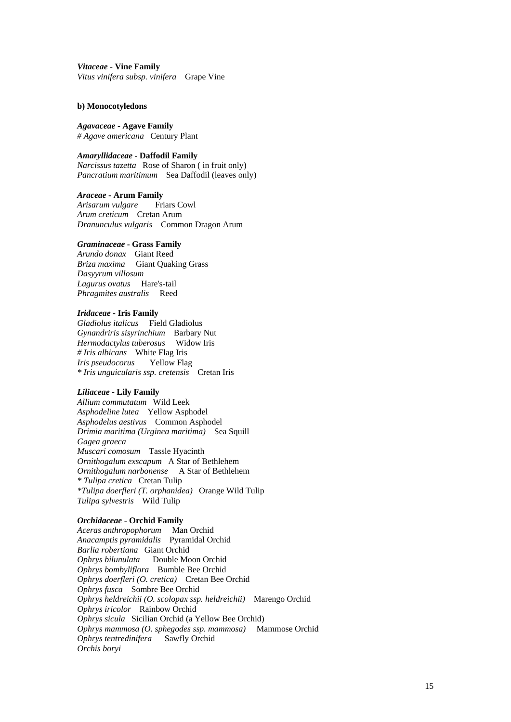*Vitaceae* **- Vine Family** *Vitus vinifera subsp. vinifera* Grape Vine

## **b) Monocotyledons**

*Agavaceae* **- Agave Family** *# Agave americana* Century Plant

# *Amaryllidaceae -* **Daffodil Family**

*Narcissus tazetta* Rose of Sharon ( in fruit only) *Pancratium maritimum* Sea Daffodil (leaves only)

*Araceae* **- Arum Family**  *Arisarum vulgare* Friars Cowl *Arum creticum* Cretan Arum *Dranunculus vulgaris* Common Dragon Arum

## *Graminaceae* **- Grass Family**

*Arundo donax* Giant Reed *Briza maxima* Giant Quaking Grass *Dasyyrum villosum Lagurus ovatus* Hare's-tail *Phragmites australis* Reed

## *Iridaceae* **- Iris Family**

*Gladiolus italicus* Field Gladiolus *Gynandriris sisyrinchium* Barbary Nut *Hermodactylus tuberosus* Widow Iris *# Iris albicans* White Flag Iris *Iris pseudocorus* Yellow Flag *\* Iris unguicularis ssp. cretensis* Cretan Iris

# *Liliaceae* **- Lily Family**

*Allium commutatum* Wild Leek *Asphodeline lutea* Yellow Asphodel *Asphodelus aestivus* Common Asphodel *Drimia maritima (Urginea maritima)* Sea Squill *Gagea graeca Muscari comosum* Tassle Hyacinth *Ornithogalum exscapum* A Star of Bethlehem *Ornithogalum narbonense* A Star of Bethlehem *\* Tulipa cretica* Cretan Tulip *\*Tulipa doerfleri (T. orphanidea)* Orange Wild Tulip *Tulipa sylvestris* Wild Tulip

# *Orchidaceae* **- Orchid Family**

*Aceras anthropophorum* Man Orchid *Anacamptis pyramidalis* Pyramidal Orchid *Barlia robertiana* Giant Orchid *Ophrys bilunulata* Double Moon Orchid *Ophrys bombyliflora* Bumble Bee Orchid *Ophrys doerfleri (O. cretica)* Cretan Bee Orchid *Ophrys fusca* Sombre Bee Orchid *Ophrys heldreichii (O. scolopax ssp. heldreichii)* Marengo Orchid *Ophrys iricolor* Rainbow Orchid *Ophrys sicula* Sicilian Orchid (a Yellow Bee Orchid) *Ophrys mammosa (O. sphegodes ssp. mammosa)* Mammose Orchid *Ophrys tentredinifera* Sawfly Orchid *Orchis boryi*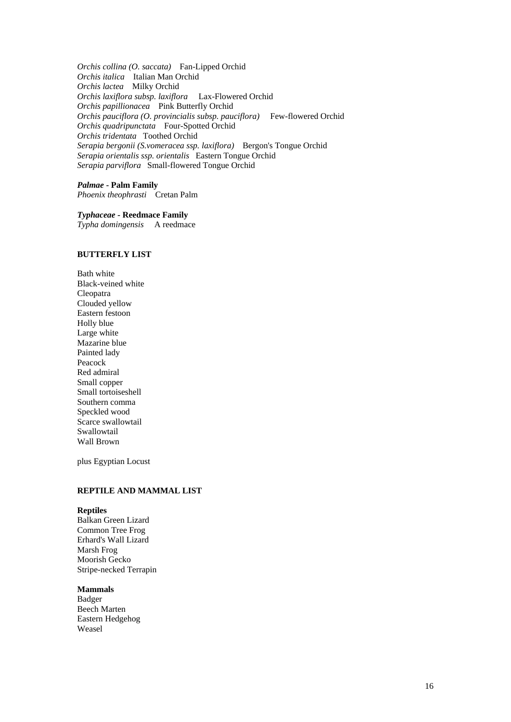*Orchis collina (O. saccata)* Fan-Lipped Orchid *Orchis italica* Italian Man Orchid *Orchis lactea* Milky Orchid *Orchis laxiflora subsp. laxiflora* Lax-Flowered Orchid *Orchis papillionacea* Pink Butterfly Orchid *Orchis pauciflora (O. provincialis subsp. pauciflora)* Few-flowered Orchid *Orchis quadripunctata* Four-Spotted Orchid *Orchis tridentata* Toothed Orchid *Serapia bergonii (S.vomeracea ssp. laxiflora)* Bergon's Tongue Orchid *Serapia orientalis ssp. orientalis* Eastern Tongue Orchid *Serapia parviflora* Small-flowered Tongue Orchid

*Palmae* **- Palm Family** *Phoenix theophrasti* Cretan Palm

*Typhaceae -* **Reedmace Family** 

*Typha domingensis* A reedmace

# **BUTTERFLY LIST**

Bath white Black-veined white Cleopatra Clouded yellow Eastern festoon Holly blue Large white Mazarine blue Painted lady Peacock Red admiral Small copper Small tortoiseshell Southern comma Speckled wood Scarce swallowtail Swallowtail Wall Brown

plus Egyptian Locust

# **REPTILE AND MAMMAL LIST**

## **Reptiles**

Balkan Green Lizard Common Tree Frog Erhard's Wall Lizard Marsh Frog Moorish Gecko Stripe-necked Terrapin

#### **Mammals**

Badger Beech Marten Eastern Hedgehog Weasel